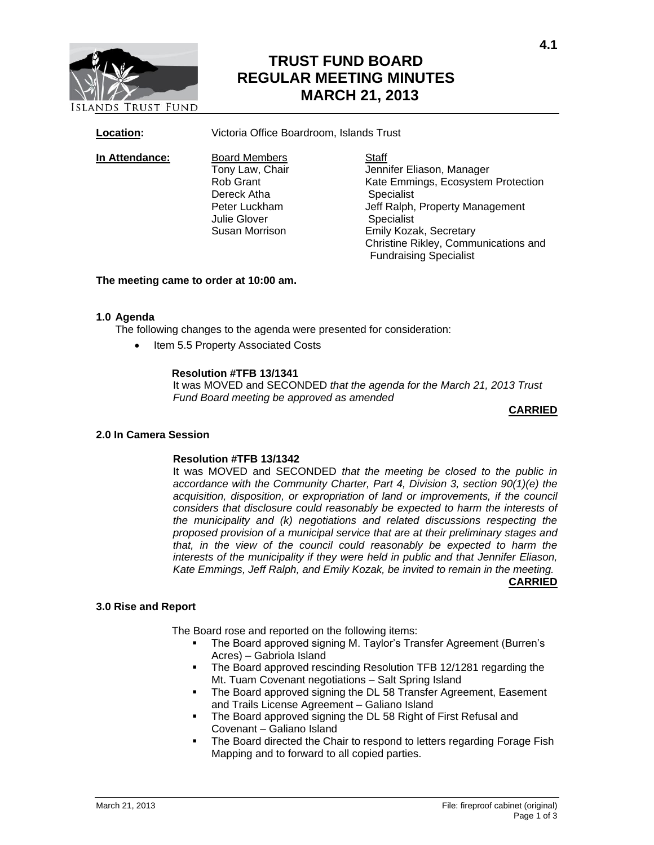

# **TRUST FUND BOARD REGULAR MEETING MINUTES MARCH 21, 2013**

**Location:** Victoria Office Boardroom, Islands Trust

**In Attendance:** Board Members Staff<br>Tony Law, Chair Jenni Dereck Atha Specialist Julie Glover **Specialist** 

Tony Law, Chair **Gray Chair** Jennifer Eliason, Manager<br>Rob Grant **International Channes** Kate Emmings. Ecosystem Kate Emmings, Ecosystem Protection Peter Luckham Jeff Ralph, Property Management Susan Morrison Emily Kozak, Secretary Christine Rikley, Communications and Fundraising Specialist

# **The meeting came to order at 10:00 am.**

# **1.0 Agenda**

The following changes to the agenda were presented for consideration:

Item 5.5 Property Associated Costs

# **Resolution #TFB 13/1341**

It was MOVED and SECONDED *that the agenda for the March 21, 2013 Trust Fund Board meeting be approved as amended*

# **CARRIED**

# **2.0 In Camera Session**

# **Resolution #TFB 13/1342**

It was MOVED and SECONDED *that the meeting be closed to the public in accordance with the Community Charter, Part 4, Division 3, section 90(1)(e) the acquisition, disposition, or expropriation of land or improvements, if the council considers that disclosure could reasonably be expected to harm the interests of the municipality and (k) negotiations and related discussions respecting the proposed provision of a municipal service that are at their preliminary stages and that, in the view of the council could reasonably be expected to harm the interests of the municipality if they were held in public and that Jennifer Eliason, Kate Emmings, Jeff Ralph, and Emily Kozak, be invited to remain in the meeting.*  **CARRIED**

# **3.0 Rise and Report**

The Board rose and reported on the following items:

- The Board approved signing M. Taylor's Transfer Agreement (Burren's Acres) – Gabriola Island
- The Board approved rescinding Resolution TFB 12/1281 regarding the Mt. Tuam Covenant negotiations – Salt Spring Island
- The Board approved signing the DL 58 Transfer Agreement, Easement and Trails License Agreement – Galiano Island
- The Board approved signing the DL 58 Right of First Refusal and Covenant – Galiano Island
- The Board directed the Chair to respond to letters regarding Forage Fish Mapping and to forward to all copied parties.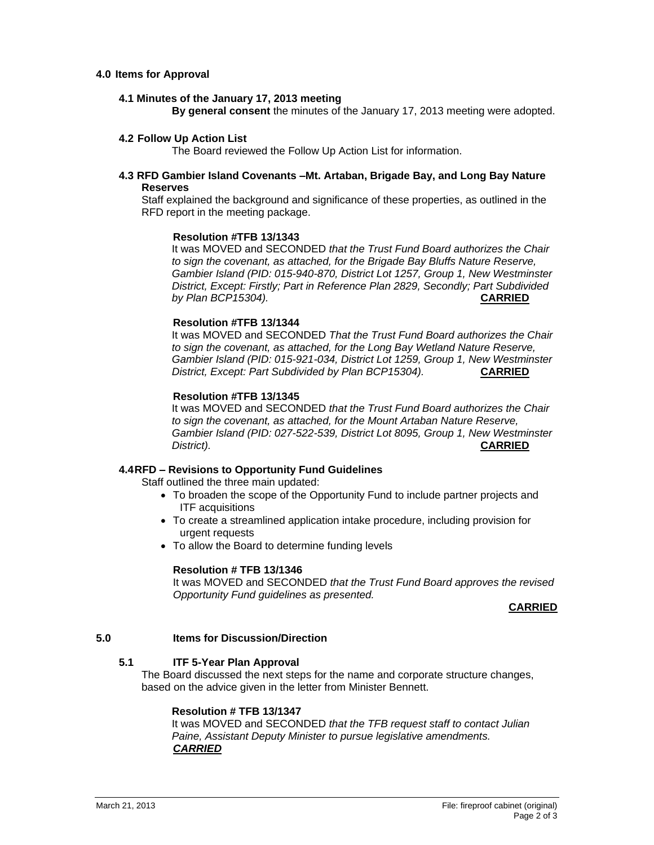# **4.0 Items for Approval**

### **4.1 Minutes of the January 17, 2013 meeting**

**By general consent** the minutes of the January 17, 2013 meeting were adopted.

### **4.2 Follow Up Action List**

The Board reviewed the Follow Up Action List for information.

# **4.3 RFD Gambier Island Covenants –Mt. Artaban, Brigade Bay, and Long Bay Nature Reserves**

Staff explained the background and significance of these properties, as outlined in the RFD report in the meeting package.

### **Resolution #TFB 13/1343**

It was MOVED and SECONDED *that the Trust Fund Board authorizes the Chair to sign the covenant, as attached, for the Brigade Bay Bluffs Nature Reserve, Gambier Island (PID: 015-940-870, District Lot 1257, Group 1, New Westminster District, Except: Firstly; Part in Reference Plan 2829, Secondly; Part Subdivided by Plan BCP15304).* **CARRIED**

# **Resolution #TFB 13/1344**

It was MOVED and SECONDED *That the Trust Fund Board authorizes the Chair to sign the covenant, as attached, for the Long Bay Wetland Nature Reserve, Gambier Island (PID: 015-921-034, District Lot 1259, Group 1, New Westminster District, Except: Part Subdivided by Plan BCP15304).* **CARRIED**

### **Resolution #TFB 13/1345**

It was MOVED and SECONDED *that the Trust Fund Board authorizes the Chair to sign the covenant, as attached, for the Mount Artaban Nature Reserve, Gambier Island (PID: 027-522-539, District Lot 8095, Group 1, New Westminster District).* **CARRIED**

# **4.4RFD – Revisions to Opportunity Fund Guidelines**

Staff outlined the three main updated:

- To broaden the scope of the Opportunity Fund to include partner projects and ITF acquisitions
- To create a streamlined application intake procedure, including provision for urgent requests
- To allow the Board to determine funding levels

# **Resolution # TFB 13/1346**

It was MOVED and SECONDED *that the Trust Fund Board approves the revised Opportunity Fund guidelines as presented.*

#### **CARRIED**

#### **5.0 Items for Discussion/Direction**

# **5.1 ITF 5-Year Plan Approval**

The Board discussed the next steps for the name and corporate structure changes, based on the advice given in the letter from Minister Bennett.

# **Resolution # TFB 13/1347**

It was MOVED and SECONDED *that the TFB request staff to contact Julian Paine, Assistant Deputy Minister to pursue legislative amendments. CARRIED*